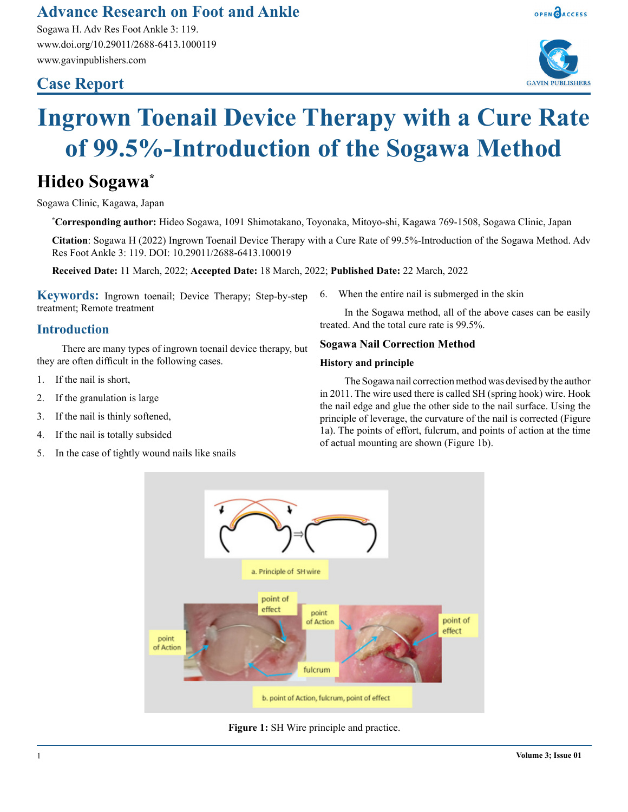# **Advance Research on Foot and Ankle**

Sogawa H. Adv Res Foot Ankle 3: 119. www.doi.org/10.29011/2688-6413.1000119 www.gavinpublishers.com

## **Case Report**





# **Ingrown Toenail Device Therapy with a Cure Rate of 99.5%-Introduction of the Sogawa Method**

# **Hideo Sogawa\***

Sogawa Clinic, Kagawa, Japan

**\* Corresponding author:** Hideo Sogawa, 1091 Shimotakano, Toyonaka, Mitoyo-shi, Kagawa 769-1508, Sogawa Clinic, Japan

**Citation**: Sogawa H (2022) Ingrown Toenail Device Therapy with a Cure Rate of 99.5%-Introduction of the Sogawa Method. Adv Res Foot Ankle 3: 119. DOI: 10.29011/2688-6413.100019

**Received Date:** 11 March, 2022; **Accepted Date:** 18 March, 2022; **Published Date:** 22 March, 2022

**Keywords:** Ingrown toenail; Device Therapy; Step-by-step treatment; Remote treatment

## **Introduction**

There are many types of ingrown toenail device therapy, but they are often difficult in the following cases.

- 1. If the nail is short,
- 2. If the granulation is large
- 3. If the nail is thinly softened,
- 4. If the nail is totally subsided
- 5. In the case of tightly wound nails like snails

6. When the entire nail is submerged in the skin

In the Sogawa method, all of the above cases can be easily treated. And the total cure rate is 99.5%.

#### **Sogawa Nail Correction Method**

#### **History and principle**

The Sogawa nail correction method was devised by the author in 2011. The wire used there is called SH (spring hook) wire. Hook the nail edge and glue the other side to the nail surface. Using the principle of leverage, the curvature of the nail is corrected (Figure 1a). The points of effort, fulcrum, and points of action at the time of actual mounting are shown (Figure 1b).



**Figure 1:** SH Wire principle and practice.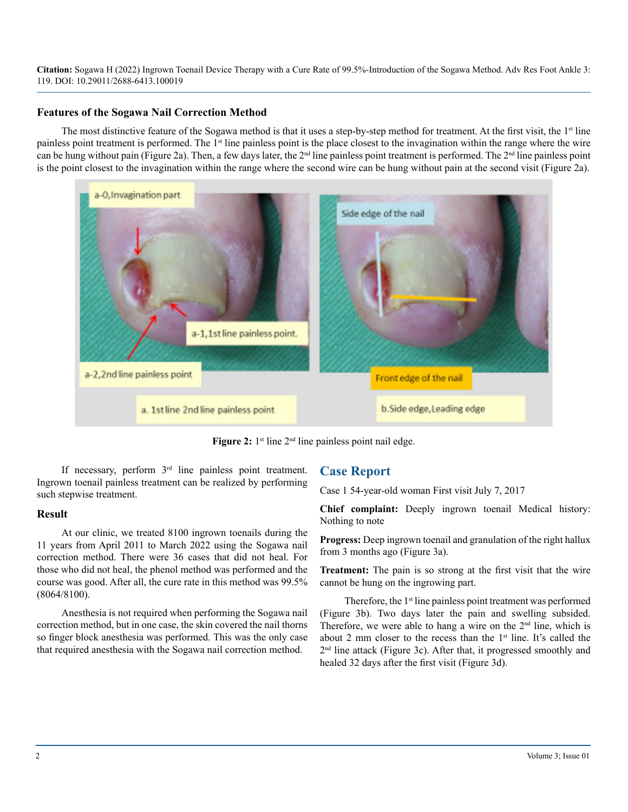**Citation:** Sogawa H (2022) Ingrown Toenail Device Therapy with a Cure Rate of 99.5%-Introduction of the Sogawa Method. Adv Res Foot Ankle 3: 119. DOI: 10.29011/2688-6413.100019

#### **Features of the Sogawa Nail Correction Method**

The most distinctive feature of the Sogawa method is that it uses a step-by-step method for treatment. At the first visit, the  $1<sup>st</sup>$  line painless point treatment is performed. The 1<sup>st</sup> line painless point is the place closest to the invagination within the range where the wire can be hung without pain (Figure 2a). Then, a few days later, the 2nd line painless point treatment is performed. The 2nd line painless point is the point closest to the invagination within the range where the second wire can be hung without pain at the second visit (Figure 2a).



**Figure 2:** 1<sup>st</sup> line 2<sup>nd</sup> line painless point nail edge.

If necessary, perform  $3<sup>rd</sup>$  line painless point treatment. Ingrown toenail painless treatment can be realized by performing such stepwise treatment.

#### **Result**

At our clinic, we treated 8100 ingrown toenails during the 11 years from April 2011 to March 2022 using the Sogawa nail correction method. There were 36 cases that did not heal. For those who did not heal, the phenol method was performed and the course was good. After all, the cure rate in this method was 99.5% (8064/8100).

Anesthesia is not required when performing the Sogawa nail correction method, but in one case, the skin covered the nail thorns so finger block anesthesia was performed. This was the only case that required anesthesia with the Sogawa nail correction method.

### **Case Report**

Case 1 54-year-old woman First visit July 7, 2017

**Chief complaint:** Deeply ingrown toenail Medical history: Nothing to note

**Progress:** Deep ingrown toenail and granulation of the right hallux from 3 months ago (Figure 3a).

**Treatment:** The pain is so strong at the first visit that the wire cannot be hung on the ingrowing part.

Therefore, the  $1<sup>st</sup>$  line painless point treatment was performed (Figure 3b). Two days later the pain and swelling subsided. Therefore, we were able to hang a wire on the  $2<sup>nd</sup>$  line, which is about 2 mm closer to the recess than the  $1<sup>st</sup>$  line. It's called the 2nd line attack (Figure 3c). After that, it progressed smoothly and healed 32 days after the first visit (Figure 3d).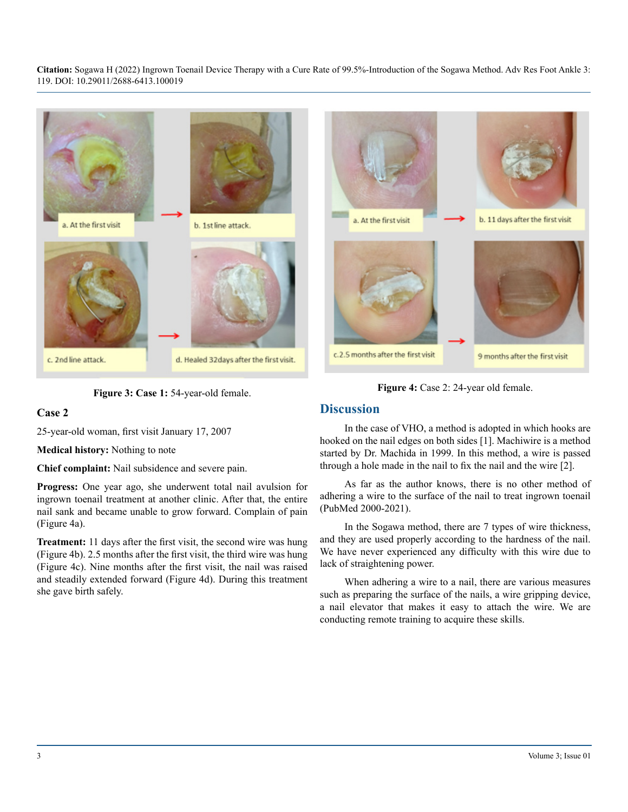**Citation:** Sogawa H (2022) Ingrown Toenail Device Therapy with a Cure Rate of 99.5%-Introduction of the Sogawa Method. Adv Res Foot Ankle 3: 119. DOI: 10.29011/2688-6413.100019





**Figure 3: Case 1:** 54-year-old female.

#### **Case 2**

25-year-old woman, first visit January 17, 2007

**Medical history:** Nothing to note

**Chief complaint:** Nail subsidence and severe pain.

**Progress:** One year ago, she underwent total nail avulsion for ingrown toenail treatment at another clinic. After that, the entire nail sank and became unable to grow forward. Complain of pain (Figure 4a).

**Treatment:** 11 days after the first visit, the second wire was hung (Figure 4b). 2.5 months after the first visit, the third wire was hung (Figure 4c). Nine months after the first visit, the nail was raised and steadily extended forward (Figure 4d). During this treatment she gave birth safely.

**Figure 4:** Case 2: 24-year old female.

#### **Discussion**

In the case of VHO, a method is adopted in which hooks are hooked on the nail edges on both sides [1]. Machiwire is a method started by Dr. Machida in 1999. In this method, a wire is passed through a hole made in the nail to fix the nail and the wire [2].

As far as the author knows, there is no other method of adhering a wire to the surface of the nail to treat ingrown toenail (PubMed 2000-2021).

In the Sogawa method, there are 7 types of wire thickness, and they are used properly according to the hardness of the nail. We have never experienced any difficulty with this wire due to lack of straightening power.

When adhering a wire to a nail, there are various measures such as preparing the surface of the nails, a wire gripping device, a nail elevator that makes it easy to attach the wire. We are conducting remote training to acquire these skills.